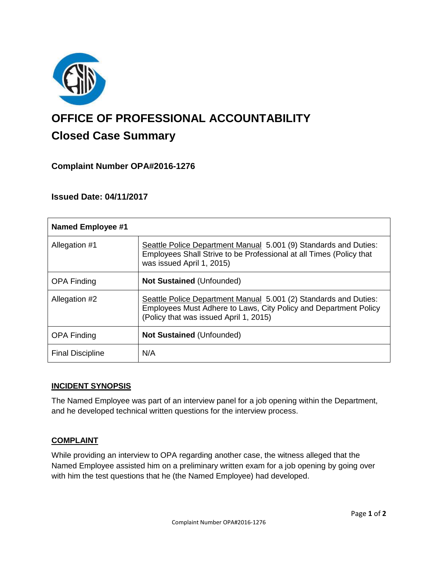

# **OFFICE OF PROFESSIONAL ACCOUNTABILITY Closed Case Summary**

## **Complaint Number OPA#2016-1276**

## **Issued Date: 04/11/2017**

| <b>Named Employee #1</b> |                                                                                                                                                                                |
|--------------------------|--------------------------------------------------------------------------------------------------------------------------------------------------------------------------------|
| Allegation #1            | Seattle Police Department Manual 5.001 (9) Standards and Duties:<br>Employees Shall Strive to be Professional at all Times (Policy that<br>was issued April 1, 2015)           |
| <b>OPA Finding</b>       | <b>Not Sustained (Unfounded)</b>                                                                                                                                               |
| Allegation #2            | Seattle Police Department Manual 5.001 (2) Standards and Duties:<br>Employees Must Adhere to Laws, City Policy and Department Policy<br>(Policy that was issued April 1, 2015) |
| <b>OPA Finding</b>       | <b>Not Sustained (Unfounded)</b>                                                                                                                                               |
| <b>Final Discipline</b>  | N/A                                                                                                                                                                            |

#### **INCIDENT SYNOPSIS**

The Named Employee was part of an interview panel for a job opening within the Department, and he developed technical written questions for the interview process.

#### **COMPLAINT**

While providing an interview to OPA regarding another case, the witness alleged that the Named Employee assisted him on a preliminary written exam for a job opening by going over with him the test questions that he (the Named Employee) had developed.